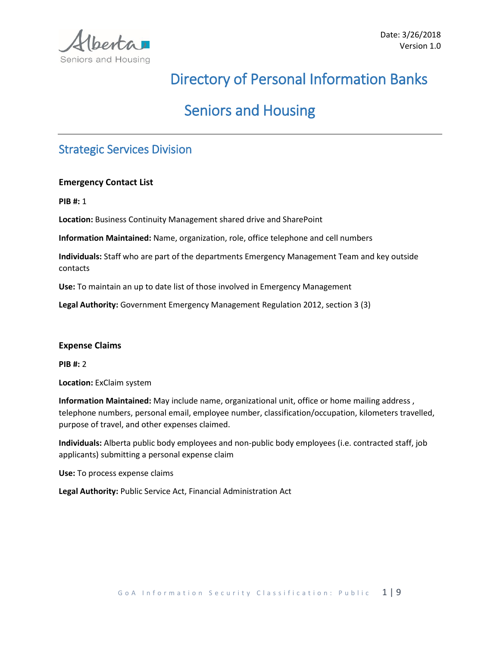

# Directory of Personal Information Banks

# Seniors and Housing

## Strategic Services Division

#### **Emergency Contact List**

**PIB #:** 1

**Location:** Business Continuity Management shared drive and SharePoint

**Information Maintained:** Name, organization, role, office telephone and cell numbers

**Individuals:** Staff who are part of the departments Emergency Management Team and key outside contacts

**Use:** To maintain an up to date list of those involved in Emergency Management

**Legal Authority:** Government Emergency Management Regulation 2012, section 3 (3)

#### **Expense Claims**

**PIB #:** 2

**Location:** ExClaim system

**Information Maintained:** May include name, organizational unit, office or home mailing address , telephone numbers, personal email, employee number, classification/occupation, kilometers travelled, purpose of travel, and other expenses claimed.

**Individuals:** Alberta public body employees and non-public body employees (i.e. contracted staff, job applicants) submitting a personal expense claim

**Use:** To process expense claims

**Legal Authority:** Public Service Act, Financial Administration Act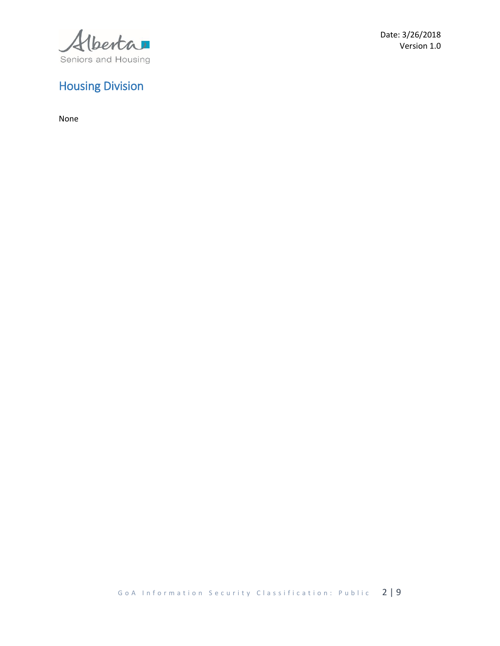Verta Seniors and Housing

#### Date: 3/26/2018 Version 1.0

## Housing Division

None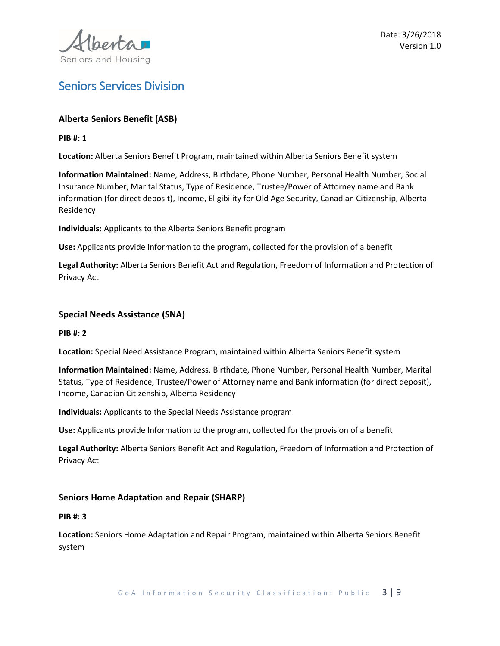

## Seniors Services Division

#### **Alberta Seniors Benefit (ASB)**

#### **PIB #: 1**

**Location:** Alberta Seniors Benefit Program, maintained within Alberta Seniors Benefit system

**Information Maintained:** Name, Address, Birthdate, Phone Number, Personal Health Number, Social Insurance Number, Marital Status, Type of Residence, Trustee/Power of Attorney name and Bank information (for direct deposit), Income, Eligibility for Old Age Security, Canadian Citizenship, Alberta Residency

**Individuals:** Applicants to the Alberta Seniors Benefit program

**Use:** Applicants provide Information to the program, collected for the provision of a benefit

**Legal Authority:** Alberta Seniors Benefit Act and Regulation, Freedom of Information and Protection of Privacy Act

#### **Special Needs Assistance (SNA)**

#### **PIB #: 2**

**Location:** Special Need Assistance Program, maintained within Alberta Seniors Benefit system

**Information Maintained:** Name, Address, Birthdate, Phone Number, Personal Health Number, Marital Status, Type of Residence, Trustee/Power of Attorney name and Bank information (for direct deposit), Income, Canadian Citizenship, Alberta Residency

**Individuals:** Applicants to the Special Needs Assistance program

**Use:** Applicants provide Information to the program, collected for the provision of a benefit

**Legal Authority:** Alberta Seniors Benefit Act and Regulation, Freedom of Information and Protection of Privacy Act

#### **Seniors Home Adaptation and Repair (SHARP)**

#### **PIB #: 3**

**Location:** Seniors Home Adaptation and Repair Program, maintained within Alberta Seniors Benefit system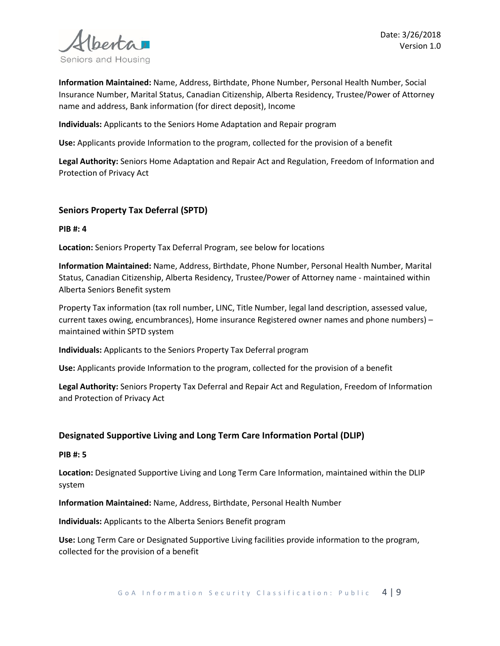

**Information Maintained:** Name, Address, Birthdate, Phone Number, Personal Health Number, Social Insurance Number, Marital Status, Canadian Citizenship, Alberta Residency, Trustee/Power of Attorney name and address, Bank information (for direct deposit), Income

**Individuals:** Applicants to the Seniors Home Adaptation and Repair program

**Use:** Applicants provide Information to the program, collected for the provision of a benefit

**Legal Authority:** Seniors Home Adaptation and Repair Act and Regulation, Freedom of Information and Protection of Privacy Act

#### **Seniors Property Tax Deferral (SPTD)**

**PIB #: 4**

**Location:** Seniors Property Tax Deferral Program, see below for locations

**Information Maintained:** Name, Address, Birthdate, Phone Number, Personal Health Number, Marital Status, Canadian Citizenship, Alberta Residency, Trustee/Power of Attorney name - maintained within Alberta Seniors Benefit system

Property Tax information (tax roll number, LINC, Title Number, legal land description, assessed value, current taxes owing, encumbrances), Home insurance Registered owner names and phone numbers) – maintained within SPTD system

**Individuals:** Applicants to the Seniors Property Tax Deferral program

**Use:** Applicants provide Information to the program, collected for the provision of a benefit

**Legal Authority:** Seniors Property Tax Deferral and Repair Act and Regulation, Freedom of Information and Protection of Privacy Act

#### **Designated Supportive Living and Long Term Care Information Portal (DLIP)**

#### **PIB #: 5**

**Location:** Designated Supportive Living and Long Term Care Information, maintained within the DLIP system

**Information Maintained:** Name, Address, Birthdate, Personal Health Number

**Individuals:** Applicants to the Alberta Seniors Benefit program

**Use:** Long Term Care or Designated Supportive Living facilities provide information to the program, collected for the provision of a benefit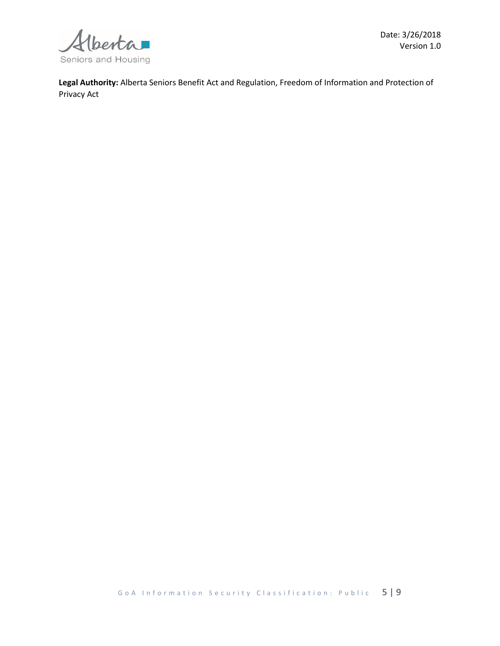

**Legal Authority:** Alberta Seniors Benefit Act and Regulation, Freedom of Information and Protection of Privacy Act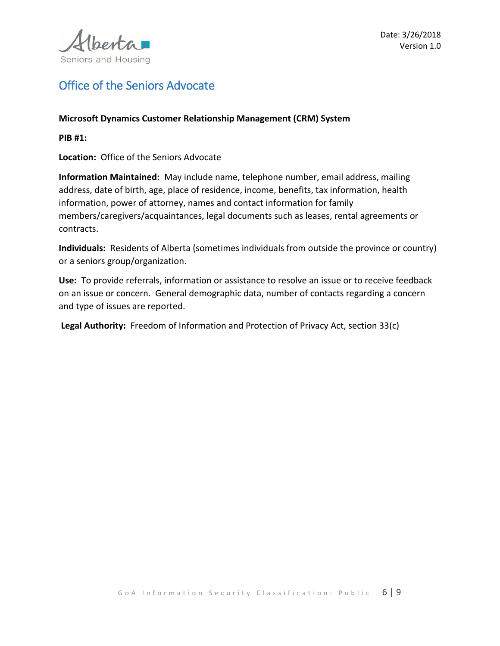

## Office of the Seniors Advocate

#### **Microsoft Dynamics Customer Relationship Management (CRM) System**

**PIB #1:**

**Location:** Office of the Seniors Advocate

**Information Maintained:** May include name, telephone number, email address, mailing address, date of birth, age, place of residence, income, benefits, tax information, health information, power of attorney, names and contact information for family members/caregivers/acquaintances, legal documents such as leases, rental agreements or contracts.

**Individuals:** Residents of Alberta (sometimes individuals from outside the province or country) or a seniors group/organization.

**Use:** To provide referrals, information or assistance to resolve an issue or to receive feedback on an issue or concern. General demographic data, number of contacts regarding a concern and type of issues are reported.

**Legal Authority:** Freedom of Information and Protection of Privacy Act, section 33(c)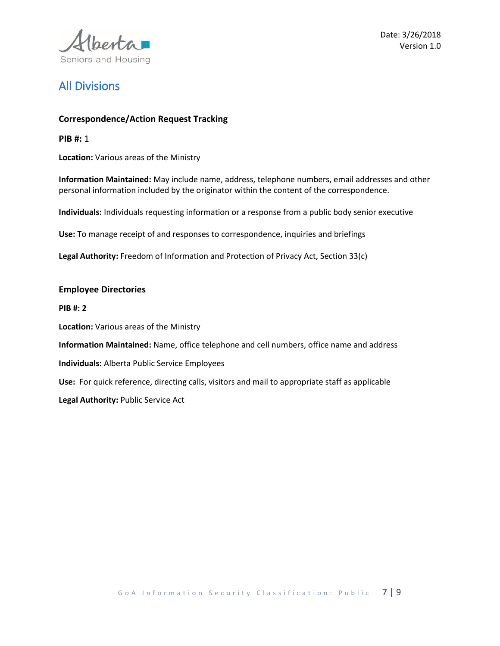

Date: 3/26/2018 Version 1.0

## All Divisions

#### **Correspondence/Action Request Tracking**

**PIB #:** 1

**Location:** Various areas of the Ministry

**Information Maintained:** May include name, address, telephone numbers, email addresses and other personal information included by the originator within the content of the correspondence.

**Individuals:** Individuals requesting information or a response from a public body senior executive

**Use:** To manage receipt of and responses to correspondence, inquiries and briefings

**Legal Authority:** Freedom of Information and Protection of Privacy Act, Section 33(c)

#### **Employee Directories**

**PIB #: 2**

**Location:** Various areas of the Ministry

**Information Maintained:** Name, office telephone and cell numbers, office name and address

**Individuals:** Alberta Public Service Employees

**Use:** For quick reference, directing calls, visitors and mail to appropriate staff as applicable

**Legal Authority:** Public Service Act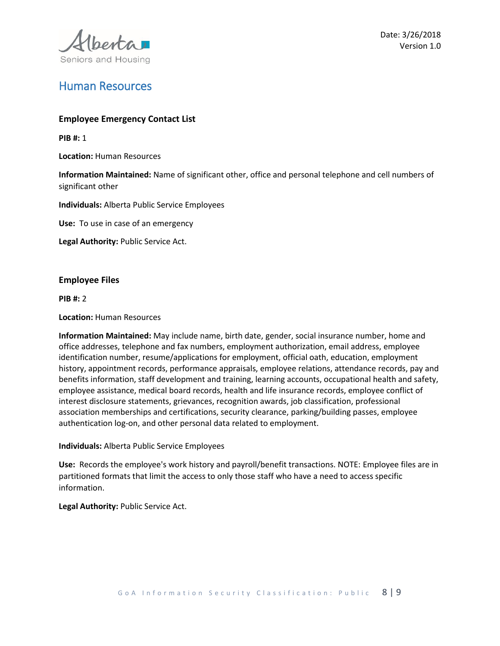

### Human Resources

#### **Employee Emergency Contact List**

**PIB #:** 1

**Location:** Human Resources

**Information Maintained:** Name of significant other, office and personal telephone and cell numbers of significant other

**Individuals:** Alberta Public Service Employees

**Use:** To use in case of an emergency

**Legal Authority:** Public Service Act.

#### **Employee Files**

**PIB #:** 2

#### **Location:** Human Resources

**Information Maintained:** May include name, birth date, gender, social insurance number, home and office addresses, telephone and fax numbers, employment authorization, email address, employee identification number, resume/applications for employment, official oath, education, employment history, appointment records, performance appraisals, employee relations, attendance records, pay and benefits information, staff development and training, learning accounts, occupational health and safety, employee assistance, medical board records, health and life insurance records, employee conflict of interest disclosure statements, grievances, recognition awards, job classification, professional association memberships and certifications, security clearance, parking/building passes, employee authentication log-on, and other personal data related to employment.

#### **Individuals:** Alberta Public Service Employees

**Use:** Records the employee's work history and payroll/benefit transactions. NOTE: Employee files are in partitioned formats that limit the access to only those staff who have a need to access specific information.

**Legal Authority:** Public Service Act.